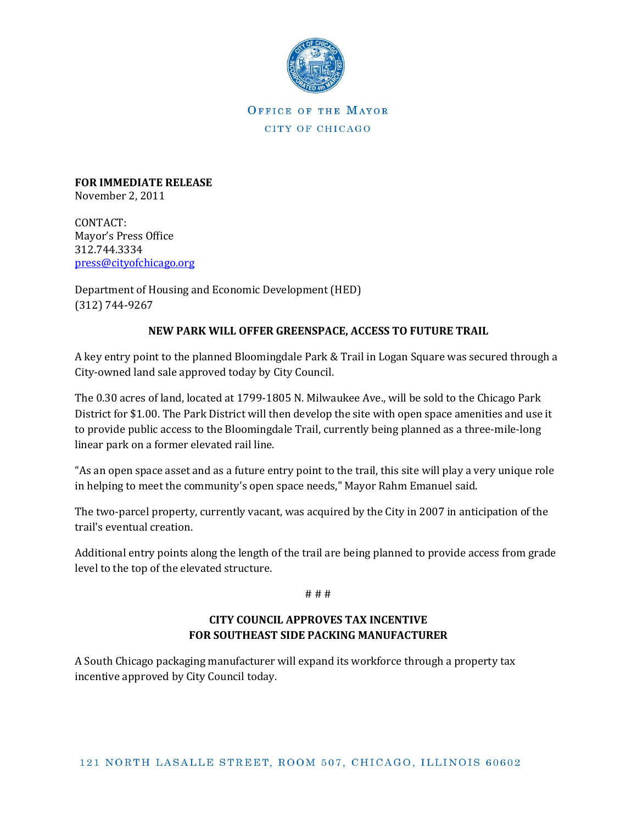

**FOR IMMEDIATE RELEASE** November 2, 2011

CONTACT: Mayor's Press Office 312.744.3334 [press@cityofchicago.org](mailto:press@cityofchicago.org)

Department of Housing and Economic Development (HED) (312) 744-9267

## **NEW PARK WILL OFFER GREENSPACE, ACCESS TO FUTURE TRAIL**

A key entry point to the planned Bloomingdale Park & Trail in Logan Square was secured through a City-owned land sale approved today by City Council.

The 0.30 acres of land, located at 1799-1805 N. Milwaukee Ave., will be sold to the Chicago Park District for \$1.00. The Park District will then develop the site with open space amenities and use it to provide public access to the Bloomingdale Trail, currently being planned as a three-mile-long linear park on a former elevated rail line.

"As an open space asset and as a future entry point to the trail, this site will play a very unique role in helping to meet the community's open space needs," Mayor Rahm Emanuel said.

The two-parcel property, currently vacant, was acquired by the City in 2007 in anticipation of the trail's eventual creation.

Additional entry points along the length of the trail are being planned to provide access from grade level to the top of the elevated structure.

# # #

# **CITY COUNCIL APPROVES TAX INCENTIVE FOR SOUTHEAST SIDE PACKING MANUFACTURER**

A South Chicago packaging manufacturer will expand its workforce through a property tax incentive approved by City Council today.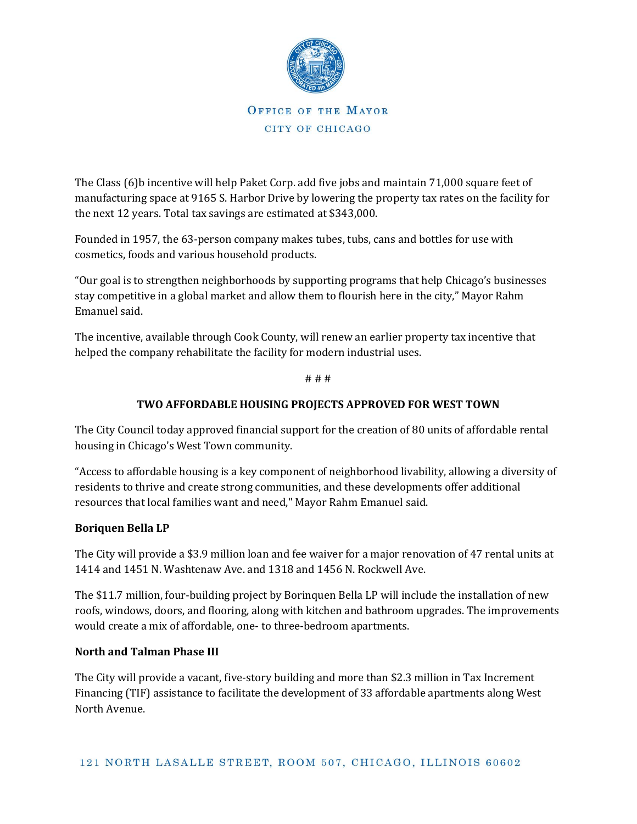

The Class (6)b incentive will help Paket Corp. add five jobs and maintain 71,000 square feet of manufacturing space at 9165 S. Harbor Drive by lowering the property tax rates on the facility for the next 12 years. Total tax savings are estimated at \$343,000.

Founded in 1957, the 63-person company makes tubes, tubs, cans and bottles for use with cosmetics, foods and various household products.

"Our goal is to strengthen neighborhoods by supporting programs that help Chicago's businesses stay competitive in a global market and allow them to flourish here in the city," Mayor Rahm Emanuel said.

The incentive, available through Cook County, will renew an earlier property tax incentive that helped the company rehabilitate the facility for modern industrial uses.

# # #

## **TWO AFFORDABLE HOUSING PROJECTS APPROVED FOR WEST TOWN**

The City Council today approved financial support for the creation of 80 units of affordable rental housing in Chicago's West Town community.

"Access to affordable housing is a key component of neighborhood livability, allowing a diversity of residents to thrive and create strong communities, and these developments offer additional resources that local families want and need," Mayor Rahm Emanuel said.

### **Boriquen Bella LP**

The City will provide a \$3.9 million loan and fee waiver for a major renovation of 47 rental units at 1414 and 1451 N. Washtenaw Ave. and 1318 and 1456 N. Rockwell Ave.

The \$11.7 million, four-building project by Borinquen Bella LP will include the installation of new roofs, windows, doors, and flooring, along with kitchen and bathroom upgrades. The improvements would create a mix of affordable, one- to three-bedroom apartments.

### **North and Talman Phase III**

The City will provide a vacant, five-story building and more than \$2.3 million in Tax Increment Financing (TIF) assistance to facilitate the development of 33 affordable apartments along West North Avenue.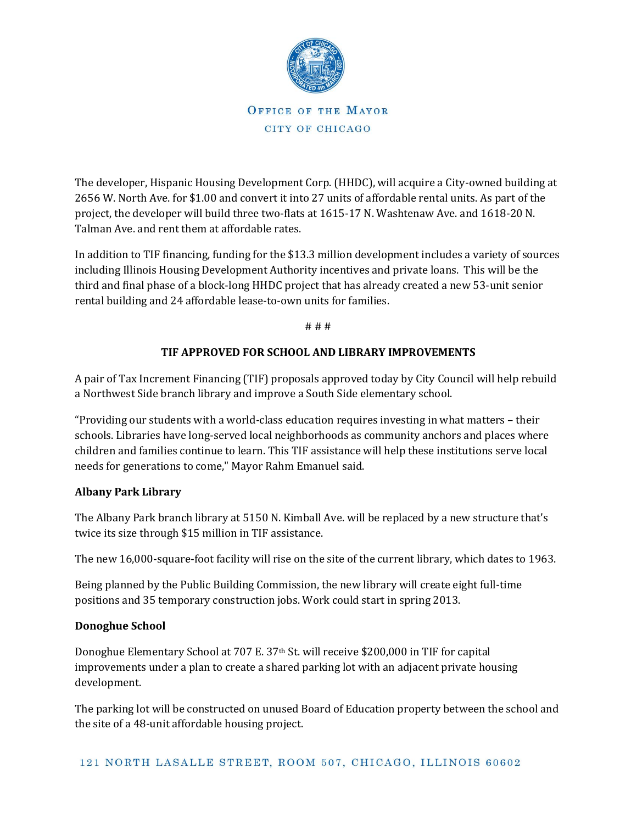

The developer, Hispanic Housing Development Corp. (HHDC), will acquire a City-owned building at 2656 W. North Ave. for \$1.00 and convert it into 27 units of affordable rental units. As part of the project, the developer will build three two-flats at 1615-17 N. Washtenaw Ave. and 1618-20 N. Talman Ave. and rent them at affordable rates.

In addition to TIF financing, funding for the \$13.3 million development includes a variety of sources including Illinois Housing Development Authority incentives and private loans. This will be the third and final phase of a block-long HHDC project that has already created a new 53-unit senior rental building and 24 affordable lease-to-own units for families.

# # #

### **TIF APPROVED FOR SCHOOL AND LIBRARY IMPROVEMENTS**

A pair of Tax Increment Financing (TIF) proposals approved today by City Council will help rebuild a Northwest Side branch library and improve a South Side elementary school.

"Providing our students with a world-class education requires investing in what matters – their schools. Libraries have long-served local neighborhoods as community anchors and places where children and families continue to learn. This TIF assistance will help these institutions serve local needs for generations to come," Mayor Rahm Emanuel said.

### **Albany Park Library**

The Albany Park branch library at 5150 N. Kimball Ave. will be replaced by a new structure that's twice its size through \$15 million in TIF assistance.

The new 16,000-square-foot facility will rise on the site of the current library, which dates to 1963.

Being planned by the Public Building Commission, the new library will create eight full-time positions and 35 temporary construction jobs. Work could start in spring 2013.

#### **Donoghue School**

Donoghue Elementary School at 707 E. 37th St. will receive \$200,000 in TIF for capital improvements under a plan to create a shared parking lot with an adjacent private housing development.

The parking lot will be constructed on unused Board of Education property between the school and the site of a 48-unit affordable housing project.